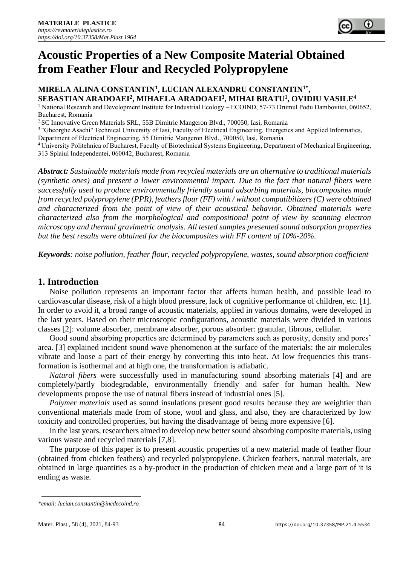

# **Acoustic Properties of a New Composite Material Obtained from Feather Flour and Recycled Polypropylene**

# **MIRELA ALINA CONSTANTIN<sup>1</sup> , LUCIAN ALEXANDRU CONSTANTIN1\* , SEBASTIAN ARADOAEI<sup>2</sup> , MIHAELA ARADOAEI<sup>3</sup> , MIHAI BRATU<sup>1</sup> , OVIDIU VASILE<sup>4</sup>**

<sup>1</sup> National Research and Development Institute for Industrial Ecology – ECOIND, 57-73 Drumul Podu Dambovitei, 060652, Bucharest, Romania

<sup>2</sup> SC Innovative Green Materials SRL, 55B Dimitrie Mangeron Blvd., 700050, Iasi, Romania

<sup>3</sup> "Gheorghe Asachi" Technical University of Iasi, Faculty of Electrical Engineering, Energetics and Applied Informatics,

Department of Electrical Engineering, 55 Dimitrie Mangeron Blvd., 700050, Iasi, Romania

<sup>4</sup>University Politehnica of Bucharest, Faculty of Biotechnical Systems Engineering, Department of Mechanical Engineering, 313 Splaiul Independentei, 060042, Bucharest, Romania

*Abstract: Sustainable materials made from recycled materials are an alternative to traditional materials (synthetic ones) and present a lower environmental impact. Due to the fact that natural fibers were successfully used to produce environmentally friendly sound adsorbing materials, biocomposites made from recycled polypropylene (PPR), feathers flour (FF) with / without compatibilizers (C) were obtained and characterized from the point of view of their acoustical behavior. Obtained materials were characterized also from the morphological and compositional point of view by scanning electron microscopy and thermal gravimetric analysis. All tested samples presented sound adsorption properties but the best results were obtained for the biocomposites with FF content of 10%-20%.* 

*Keywords: noise pollution, feather flour, recycled polypropylene, wastes, sound absorption coefficient*

# **1. Introduction**

Noise pollution represents an important factor that affects human health, and possible lead to cardiovascular disease, risk of a high blood pressure, lack of cognitive performance of children, etc. [1]. In order to avoid it, a broad range of acoustic materials, applied in various domains, were developed in the last years. Based on their microscopic configurations, acoustic materials were divided in various classes [2]: volume absorber, membrane absorber, porous absorber: granular, fibrous, cellular.

Good sound absorbing properties are determined by parameters such as porosity, density and pores' area. [3] explained incident sound wave phenomenon at the surface of the materials: the air molecules vibrate and loose a part of their energy by converting this into heat. At low frequencies this transformation is isothermal and at high one, the transformation is adiabatic.

*Natural fibers* were successfully used in manufacturing sound absorbing materials [4] and are completely/partly biodegradable, environmentally friendly and safer for human health. New developments propose the use of natural fibers instead of industrial ones [5].

*Polymer materials* used as sound insulations present good results because they are weightier than conventional materials made from of stone, wool and glass, and also, they are characterized by low toxicity and controlled properties, but having the disadvantage of being more expensive [6].

In the last years, researchers aimed to develop new better sound absorbing composite materials, using various waste and recycled materials [7,8].

The purpose of this paper is to present acoustic properties of a new material made of feather flour (obtained from chicken feathers) and recycled polypropylene. Chicken feathers, natural materials, are obtained in large quantities as a by-product in the production of chicken meat and a large part of it is ending as waste.

*<sup>\*</sup>email[: lucian.constantin@incdecoind.ro](mailto:lucian.constantin@incdecoind.ro)*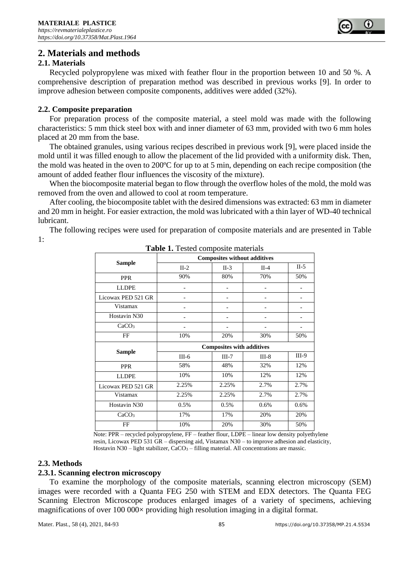

# **2. Materials and methods**

## **2.1. Materials**

Recycled polypropylene was mixed with feather flour in the proportion between 10 and 50 %. A comprehensive description of preparation method was described in previous works [9]. In order to improve adhesion between composite components, additives were added (32%).

### **2.2. Composite preparation**

For preparation process of the composite material, a steel mold was made with the following characteristics: 5 mm thick steel box with and inner diameter of 63 mm, provided with two 6 mm holes placed at 20 mm from the base.

The obtained granules, using various recipes described in previous work [9], were placed inside the mold until it was filled enough to allow the placement of the lid provided with a uniformity disk. Then, the mold was heated in the oven to 200ºC for up to at 5 min, depending on each recipe composition (the amount of added feather flour influences the viscosity of the mixture).

When the biocomposite material began to flow through the overflow holes of the mold, the mold was removed from the oven and allowed to cool at room temperature.

After cooling, the biocomposite tablet with the desired dimensions was extracted: 63 mm in diameter and 20 mm in height. For easier extraction, the mold was lubricated with a thin layer of WD-40 technical lubricant.

The following recipes were used for preparation of composite materials and are presented in Table 1:

| <b>rapic 1.</b> restea composite materials |                                     |         |         |         |
|--------------------------------------------|-------------------------------------|---------|---------|---------|
| <b>Sample</b>                              | <b>Composites without additives</b> |         |         |         |
|                                            | $II-2$                              | $II-3$  | $II-4$  | $II-5$  |
| <b>PPR</b>                                 | 90%                                 | 80%     | 70%     | 50%     |
| <b>LLDPE</b>                               |                                     |         |         |         |
| Licowax PED 521 GR                         |                                     |         |         |         |
| Vistamax                                   |                                     |         |         |         |
| Hostavin N30                               |                                     |         |         |         |
| CaCO <sub>3</sub>                          |                                     |         |         |         |
| FF                                         | 10%                                 | 20%     | 30%     | 50%     |
| <b>Sample</b>                              | <b>Composites with additives</b>    |         |         |         |
|                                            | $III-6$                             | $III-7$ | $III-8$ | $III-9$ |
| <b>PPR</b>                                 | 58%                                 | 48%     | 32%     | 12%     |
| <b>LLDPE</b>                               | 10%                                 | 10%     | 12%     | 12%     |
| Licowax PED 521 GR                         | 2.25%                               | 2.25%   | 2.7%    | 2.7%    |
| Vistamax                                   | 2.25%                               | 2.25%   | 2.7%    | 2.7%    |
| Hostavin N30                               | 0.5%                                | 0.5%    | 0.6%    | 0.6%    |
| CaCO <sub>3</sub>                          | 17%                                 | 17%     | 20%     | 20%     |
| FF                                         | 10%                                 | 20%     | 30%     | 50%     |

**Table 1.** Tested composite materials

 Note: PPR – recycled polypropylene, FF – feather flour, LDPE – linear low density polyethylene resin, Licowax PED 531 GR – dispersing aid, Vistamax N30 – to improve adhesion and elasticity, Hostavin N30 – light stabilizer, CaCO<sub>3</sub> – filling material. All concentrations are massic.

## **2.3. Methods**

#### **2.3.1. Scanning electron microscopy**

To examine the morphology of the composite materials, scanning electron microscopy (SEM) images were recorded with a Quanta FEG 250 with STEM and EDX detectors. The Quanta FEG Scanning Electron Microscope produces enlarged images of a variety of specimens, achieving magnifications of over  $100\,000\times$  providing high resolution imaging in a digital format.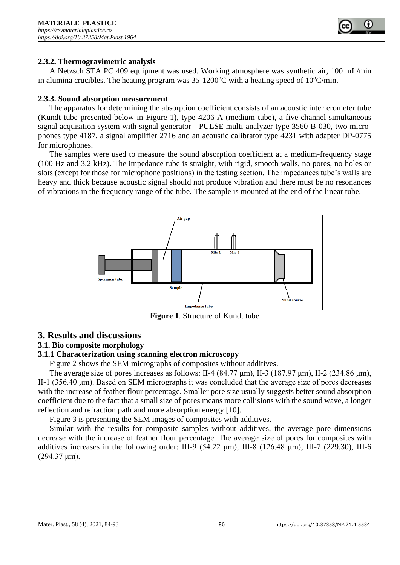

## **2.3.2. Thermogravimetric analysis**

A Netzsch STA PC 409 equipment was used. Working atmosphere was synthetic air, 100 mL/min in alumina crucibles. The heating program was  $35-1200^{\circ}$ C with a heating speed of  $10^{\circ}$ C/min.

#### **2.3.3. Sound absorption measurement**

The apparatus for determining the absorption coefficient consists of an acoustic interferometer tube (Kundt tube presented below in Figure 1), type 4206-A (medium tube), a five-channel simultaneous signal acquisition system with signal generator - PULSE multi-analyzer type 3560-B-030, two microphones type 4187, a signal amplifier 2716 and an acoustic calibrator type 4231 with adapter DP-0775 for microphones.

The samples were used to measure the sound absorption coefficient at a medium-frequency stage (100 Hz and 3.2 kHz). The impedance tube is straight, with rigid, smooth walls, no pores, no holes or slots (except for those for microphone positions) in the testing section. The impedances tube's walls are heavy and thick because acoustic signal should not produce vibration and there must be no resonances of vibrations in the frequency range of the tube. The sample is mounted at the end of the linear tube.



**Figure 1**. Structure of Kundt tube

## **3. Results and discussions**

## **3.1. Bio composite morphology**

## **3.1.1 Characterization using scanning electron microscopy**

Figure 2 shows the SEM micrographs of composites without additives.

The average size of pores increases as follows: II-4 (84.77 μm), II-3 (187.97 μm), II-2 (234.86 μm), II-1 (356.40 μm). Based on SEM micrographs it was concluded that the average size of pores decreases with the increase of feather flour percentage. Smaller pore size usually suggests better sound absorption coefficient due to the fact that a small size of pores means more collisions with the sound wave, a longer reflection and refraction path and more absorption energy [10].

Figure 3 is presenting the SEM images of composites with additives.

Similar with the results for composite samples without additives, the average pore dimensions decrease with the increase of feather flour percentage. The average size of pores for composites with additives increases in the following order: III-9 (54.22  $\mu$ m), III-8 (126.48  $\mu$ m), III-7 (229.30), III-6  $(294.37 \,\mu m)$ .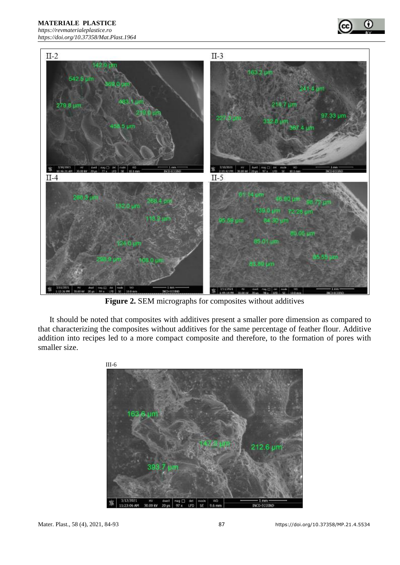**MATERIALE PLASTICE** 

*[https://revmaterialeplastice.ro](https://revmaterialeplastice.ro/) https://doi.org/10.37358/Mat.Plast.1964*





**Figure 2.** SEM micrographs for composites without additives

It should be noted that composites with additives present a smaller pore dimension as compared to that characterizing the composites without additives for the same percentage of feather flour. Additive addition into recipes led to a more compact composite and therefore, to the formation of pores with smaller size.

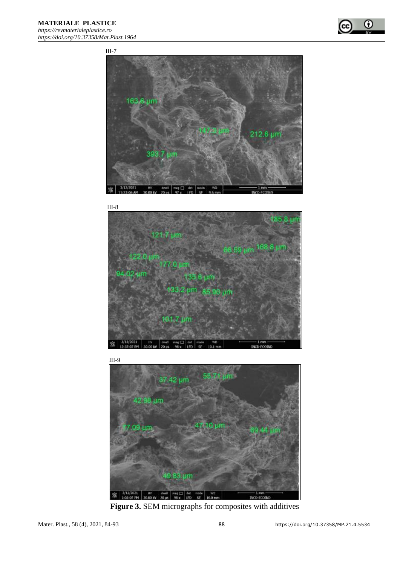





 III-9 37.42 um -um 3 um 3/12/2021<br>1:03:07 PM  $\frac{10}{30.00 \text{ eV}}$ dwell mag  $\Box$  det<br>20 µs 96 x UD 家  $0.0<sub>m</sub>$ 

**Figure 3.** SEM micrographs for composites with additives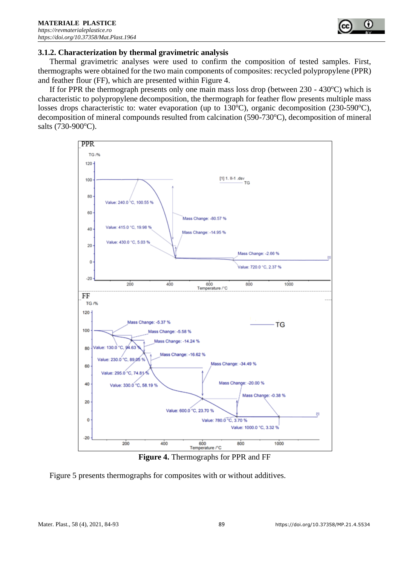

#### **3.1.2. Characterization by thermal gravimetric analysis**

Thermal gravimetric analyses were used to confirm the composition of tested samples. First, thermographs were obtained for the two main components of composites: recycled polypropylene (PPR) and feather flour (FF), which are presented within Figure 4.

If for PPR the thermograph presents only one main mass loss drop (between  $230 - 430^{\circ}$ C) which is characteristic to polypropylene decomposition, the thermograph for feather flow presents multiple mass losses drops characteristic to: water evaporation (up to  $130^{\circ}$ C), organic decomposition (230-590 $^{\circ}$ C), decomposition of mineral compounds resulted from calcination  $(590-730^{\circ}C)$ , decomposition of mineral salts (730-900°C).



**Figure 4.** Thermographs for PPR and FF

Figure 5 presents thermographs for composites with or without additives.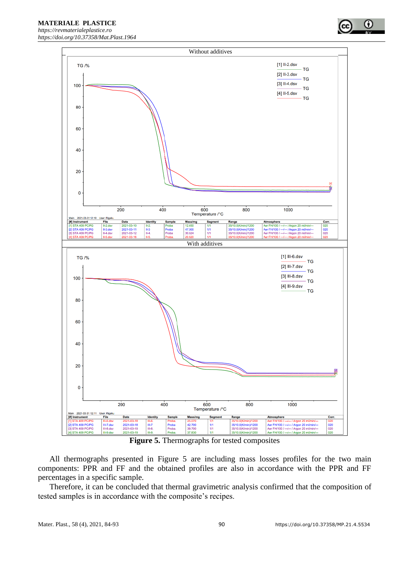

**Figure 5.** Thermographs for tested composites

42.700<br>39.700

**37.830** 

Probe

mba

Segm

1/1<br>1/1

tange

35/10.0(K/min)/1200<br>35/10.0(K/min)/1200

All thermographs presented in Figure 5 are including mass losses profiles for the two main components: PPR and FF and the obtained profiles are also in accordance with the PPR and FF percentages in a specific sample.

Therefore, it can be concluded that thermal gravimetric analysis confirmed that the composition of tested samples is in accordance with the composite's recipes.

2021-03-31 12:11 User: Rigaku<br>strument File

III-7.dsv<br>III-8.dsv

Date

2021-03-18<br>2021-03-19

2021-03-1

III-7<br>III-8

[#] Instrum

STA 409 PC/PC

STA 409 PC/PC

**STA 409 PC** 

Con

020<br>020

Argon 20 milimin

**United States of Officers** 

Aer FH/100 / --- /--- / Argon 20 mil/min/<br>Aer FH/100 / --- /-- / Argon 20 mil/min/

**Aer FH/100 /** 

0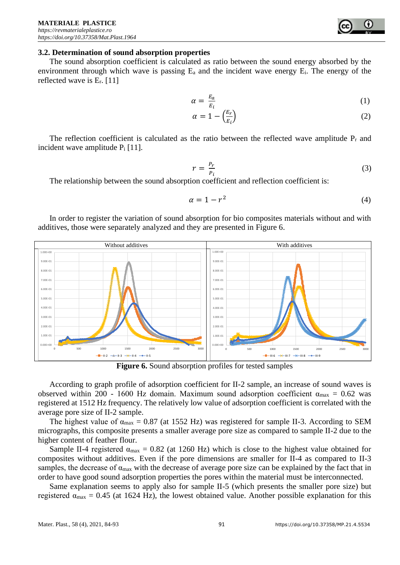### **3.2. Determination of sound absorption properties**

The sound absorption coefficient is calculated as ratio between the sound energy absorbed by the environment through which wave is passing  $E_a$  and the incident wave energy  $E_i$ . The energy of the reflected wave is  $E_r$ . [11]

$$
\alpha = \frac{E_a}{E_i} \tag{1}
$$

$$
\alpha = 1 - \left(\frac{E_r}{E_i}\right) \tag{2}
$$

The reflection coefficient is calculated as the ratio between the reflected wave amplitude  $P_r$  and incident wave amplitude  $P_i$  [11].

$$
r = \frac{P_r}{P_i} \tag{3}
$$

The relationship between the sound absorption coefficient and reflection coefficient is:

$$
\alpha = 1 - r^2 \tag{4}
$$

In order to register the variation of sound absorption for bio composites materials without and with additives, those were separately analyzed and they are presented in Figure 6.



**Figure 6.** Sound absorption profiles for tested samples

According to graph profile of adsorption coefficient for II-2 sample, an increase of sound waves is observed within 200 - 1600 Hz domain. Maximum sound adsorption coefficient  $\alpha_{\text{max}} = 0.62$  was registered at 1512 Hz frequency. The relatively low value of adsorption coefficient is correlated with the average pore size of II-2 sample.

The highest value of  $\alpha_{\text{max}} = 0.87$  (at 1552 Hz) was registered for sample II-3. According to SEM micrographs, this composite presents a smaller average pore size as compared to sample II-2 due to the higher content of feather flour.

Sample II-4 registered  $\alpha_{\text{max}} = 0.82$  (at 1260 Hz) which is close to the highest value obtained for composites without additives. Even if the pore dimensions are smaller for II-4 as compared to II-3 samples, the decrease of  $\alpha_{\text{max}}$  with the decrease of average pore size can be explained by the fact that in order to have good sound adsorption properties the pores within the material must be interconnected.

Same explanation seems to apply also for sample II-5 (which presents the smaller pore size) but registered  $\alpha_{\text{max}} = 0.45$  (at 1624 Hz), the lowest obtained value. Another possible explanation for this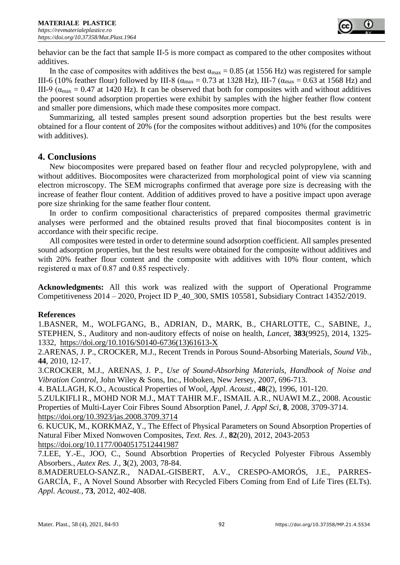

behavior can be the fact that sample II-5 is more compact as compared to the other composites without additives.

In the case of composites with additives the best  $\alpha_{\text{max}} = 0.85$  (at 1556 Hz) was registered for sample III-6 (10% feather flour) followed by III-8 (α<sub>max</sub> = 0.73 at 1328 Hz), III-7 (α<sub>max</sub> = 0.63 at 1568 Hz) and III-9 ( $\alpha_{\text{max}}$  = 0.47 at 1420 Hz). It can be observed that both for composites with and without additives the poorest sound adsorption properties were exhibit by samples with the higher feather flow content and smaller pore dimensions, which made these composites more compact.

Summarizing, all tested samples present sound adsorption properties but the best results were obtained for a flour content of 20% (for the composites without additives) and 10% (for the composites with additives).

## **4. Conclusions**

New biocomposites were prepared based on feather flour and recycled polypropylene, with and without additives. Biocomposites were characterized from morphological point of view via scanning electron microscopy. The SEM micrographs confirmed that average pore size is decreasing with the increase of feather flour content. Addition of additives proved to have a positive impact upon average pore size shrinking for the same feather flour content.

In order to confirm compositional characteristics of prepared composites thermal gravimetric analyses were performed and the obtained results proved that final biocomposites content is in accordance with their specific recipe.

All composites were tested in order to determine sound adsorption coefficient. All samples presented sound adsorption properties, but the best results were obtained for the composite without additives and with 20% feather flour content and the composite with additives with 10% flour content, which registered  $\alpha$  max of 0.87 and 0.85 respectively.

**Acknowledgments:** All this work was realized with the support of Operational Programme Competitiveness 2014 – 2020, Project ID P\_40\_300, SMIS 105581, Subsidiary Contract 14352/2019.

## **References**

1.BASNER, M., WOLFGANG, B., ADRIAN, D., MARK, B., CHARLOTTE, C., SABINE, J., STEPHEN, S., Auditory and non-auditory effects of noise on health, *Lancet*, **383**(9925), 2014, 1325- 1332, [https://doi.org/10.1016/S0140-6736\(13\)61613-X](https://doi.org/10.1016/S0140-6736(13)61613-X)

2.ARENAS, J. P., CROCKER, M.J., Recent Trends in Porous Sound-Absorbing Materials*, Sound Vib.*, **44**, 2010, 12-17.

3.CROCKER, M.J., ARENAS, J. P., *Use of Sound-Absorbing Materials, Handbook of Noise and Vibration Control*, John Wiley & Sons, Inc., Hoboken, New Jersey, 2007, 696-713.

4. BALLAGH, K.O., Acoustical Properties of Wool, *Appl. Acoust.*, **48**(2), 1996, 101-120.

5.ZULKIFLI R., MOHD NOR M.J., MAT TAHIR M.F., ISMAIL A.R., NUAWI M.Z., 2008. Acoustic Properties of Multi-Layer Coir Fibres Sound Absorption Panel, *J. Appl Sci*, **8**, 2008, 3709-3714. <https://doi.org/10.3923/jas.2008.3709.3714>

6. KUCUK, M., KORKMAZ, Y., The Effect of Physical Parameters on Sound Absorption Properties of Natural Fiber Mixed Nonwoven Composites, *Text. Res. J.*, **82**(20), 2012, 2043-2053 <https://doi.org/10.1177/0040517512441987>

7.LEE, Y.-E., JOO, C., Sound Absorbtion Properties of Recycled Polyester Fibrous Assembly Absorbers*.*, *Autex Res. J.*, **3**(2), 2003, 78-84.

8.MADERUELO-SANZ.R., NADAL-GISBERT, A.V., CRESPO-AMORÓS, J.E., PARRES-GARCÍA, F., A Novel Sound Absorber with Recycled Fibers Coming from End of Life Tires (ELTs). *Appl. Acoust.*, **73**, 2012, 402-408.